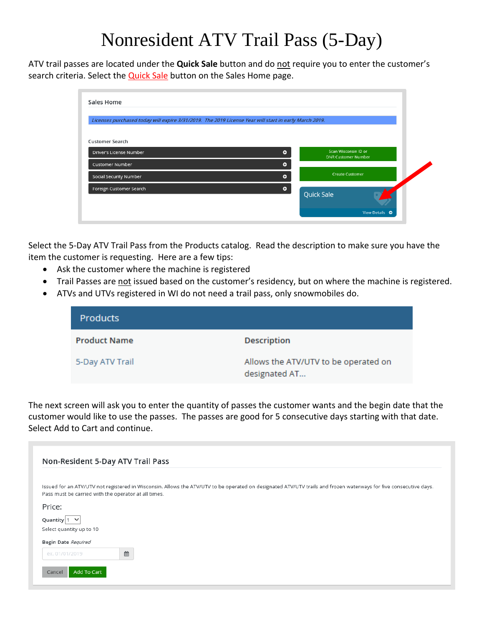## Nonresident ATV Trail Pass (5-Day)

ATV trail passes are located under the **Quick Sale** button and do not require you to enter the customer's search criteria. Select the **Quick Sale** button on the Sales Home page.

| Licenses purchased today will expire 3/31/2019. The 2019 License Year will start in early March 2019. |           |                                                    |  |
|-------------------------------------------------------------------------------------------------------|-----------|----------------------------------------------------|--|
| <b>Customer Search</b>                                                                                |           |                                                    |  |
| Driver's License Number                                                                               | $\bullet$ | Scan Wisconsin ID or<br><b>DNR Customer Number</b> |  |
| <b>Customer Number</b>                                                                                | ۰         |                                                    |  |
| <b>Social Security Number</b>                                                                         | Θ         | <b>Create Customer</b>                             |  |
| Foreign Customer Search                                                                               | ۰         | <b>Quick Sale</b>                                  |  |

Select the 5-Day ATV Trail Pass from the Products catalog. Read the description to make sure you have the item the customer is requesting. Here are a few tips:

- Ask the customer where the machine is registered
- Trail Passes are not issued based on the customer's residency, but on where the machine is registered.
- ATVs and UTVs registered in WI do not need a trail pass, only snowmobiles do.

| <b>Products</b>     |                                                       |
|---------------------|-------------------------------------------------------|
| <b>Product Name</b> | <b>Description</b>                                    |
| 5-Day ATV Trail     | Allows the ATV/UTV to be operated on<br>designated AT |

The next screen will ask you to enter the quantity of passes the customer wants and the begin date that the customer would like to use the passes. The passes are good for 5 consecutive days starting with that date. Select Add to Cart and continue.

| Non-Resident 5-Day ATV Trail Pass                                                                                                                                                                                         |
|---------------------------------------------------------------------------------------------------------------------------------------------------------------------------------------------------------------------------|
| Issued for an ATV/UTV not registered in Wisconsin. Allows the ATV/UTV to be operated on designated ATV/UTV trails and frozen waterways for five consecutive days.<br>Pass must be carried with the operator at all times. |
| Price:                                                                                                                                                                                                                    |
| Quantity $ 1 \times$                                                                                                                                                                                                      |
| Select quantity up to 10                                                                                                                                                                                                  |
| Begin Date Required                                                                                                                                                                                                       |
| 曲<br>ex. 01/01/2019                                                                                                                                                                                                       |
| Add To Cart<br>Cancel                                                                                                                                                                                                     |